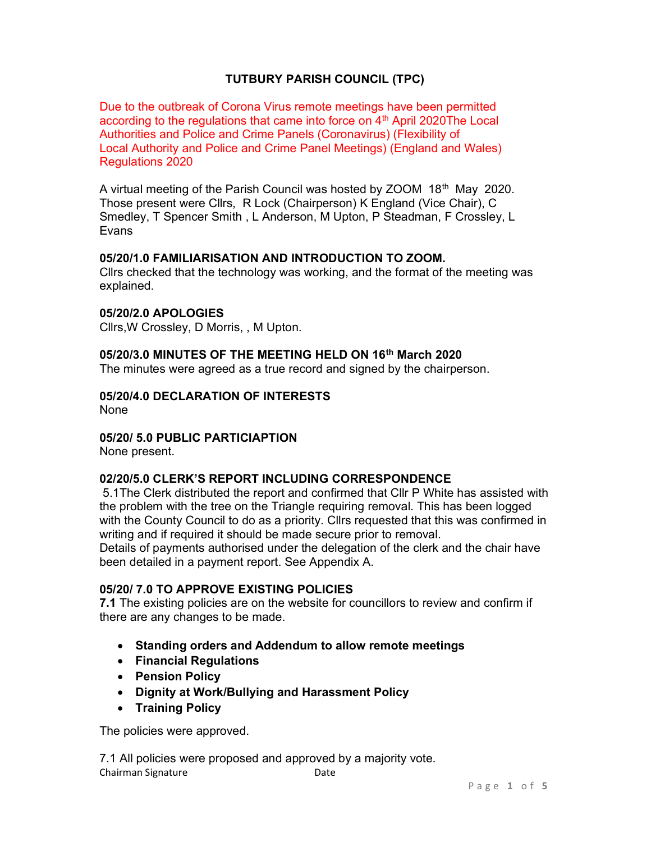# TUTBURY PARISH COUNCIL (TPC)

Due to the outbreak of Corona Virus remote meetings have been permitted according to the regulations that came into force on  $4<sup>th</sup>$  April 2020The Local Authorities and Police and Crime Panels (Coronavirus) (Flexibility of Local Authority and Police and Crime Panel Meetings) (England and Wales) Regulations 2020

A virtual meeting of the Parish Council was hosted by ZOOM 18<sup>th</sup> May 2020. Those present were Cllrs, R Lock (Chairperson) K England (Vice Chair), C Smedley, T Spencer Smith , L Anderson, M Upton, P Steadman, F Crossley, L Evans

### 05/20/1.0 FAMILIARISATION AND INTRODUCTION TO ZOOM.

Cllrs checked that the technology was working, and the format of the meeting was explained.

### 05/20/2.0 APOLOGIES

Cllrs,W Crossley, D Morris, , M Upton.

### 05/20/3.0 MINUTES OF THE MEETING HELD ON 16th March 2020

The minutes were agreed as a true record and signed by the chairperson.

#### 05/20/4.0 DECLARATION OF INTERESTS

None

### 05/20/ 5.0 PUBLIC PARTICIAPTION

None present.

### 02/20/5.0 CLERK'S REPORT INCLUDING CORRESPONDENCE

 5.1The Clerk distributed the report and confirmed that Cllr P White has assisted with the problem with the tree on the Triangle requiring removal. This has been logged with the County Council to do as a priority. Cllrs requested that this was confirmed in writing and if required it should be made secure prior to removal.

Details of payments authorised under the delegation of the clerk and the chair have been detailed in a payment report. See Appendix A.

## 05/20/ 7.0 TO APPROVE EXISTING POLICIES

7.1 The existing policies are on the website for councillors to review and confirm if there are any changes to be made.

- Standing orders and Addendum to allow remote meetings
- Financial Regulations
- Pension Policy
- Dignity at Work/Bullying and Harassment Policy
- Training Policy

The policies were approved.

Chairman Signature **Date** 7.1 All policies were proposed and approved by a majority vote.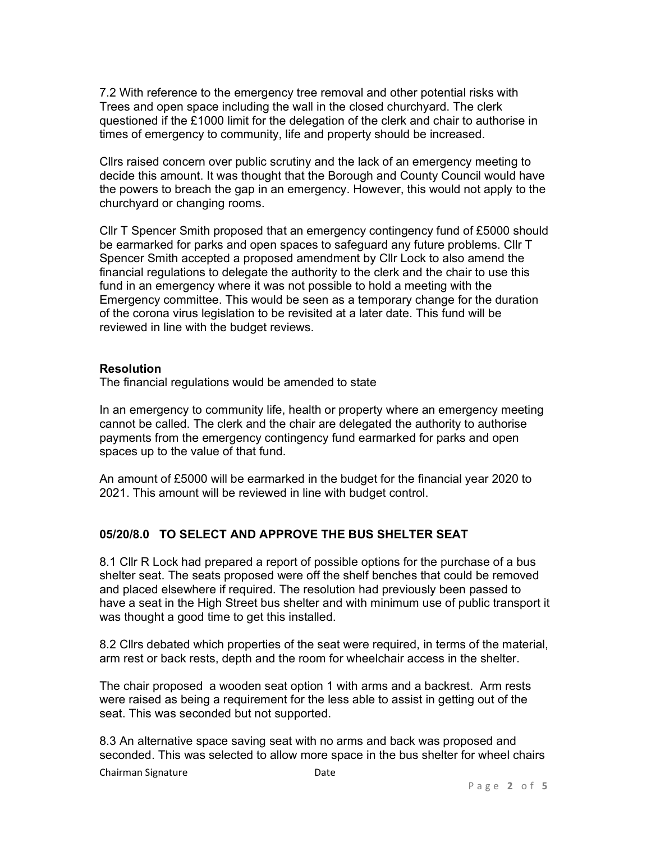7.2 With reference to the emergency tree removal and other potential risks with Trees and open space including the wall in the closed churchyard. The clerk questioned if the £1000 limit for the delegation of the clerk and chair to authorise in times of emergency to community, life and property should be increased.

Cllrs raised concern over public scrutiny and the lack of an emergency meeting to decide this amount. It was thought that the Borough and County Council would have the powers to breach the gap in an emergency. However, this would not apply to the churchyard or changing rooms.

Cllr T Spencer Smith proposed that an emergency contingency fund of £5000 should be earmarked for parks and open spaces to safeguard any future problems. Cllr T Spencer Smith accepted a proposed amendment by Cllr Lock to also amend the financial regulations to delegate the authority to the clerk and the chair to use this fund in an emergency where it was not possible to hold a meeting with the Emergency committee. This would be seen as a temporary change for the duration of the corona virus legislation to be revisited at a later date. This fund will be reviewed in line with the budget reviews.

#### **Resolution**

The financial regulations would be amended to state

In an emergency to community life, health or property where an emergency meeting cannot be called. The clerk and the chair are delegated the authority to authorise payments from the emergency contingency fund earmarked for parks and open spaces up to the value of that fund.

An amount of £5000 will be earmarked in the budget for the financial year 2020 to 2021. This amount will be reviewed in line with budget control.

### 05/20/8.0 TO SELECT AND APPROVE THE BUS SHELTER SEAT

8.1 Cllr R Lock had prepared a report of possible options for the purchase of a bus shelter seat. The seats proposed were off the shelf benches that could be removed and placed elsewhere if required. The resolution had previously been passed to have a seat in the High Street bus shelter and with minimum use of public transport it was thought a good time to get this installed.

8.2 Cllrs debated which properties of the seat were required, in terms of the material, arm rest or back rests, depth and the room for wheelchair access in the shelter.

The chair proposed a wooden seat option 1 with arms and a backrest. Arm rests were raised as being a requirement for the less able to assist in getting out of the seat. This was seconded but not supported.

8.3 An alternative space saving seat with no arms and back was proposed and seconded. This was selected to allow more space in the bus shelter for wheel chairs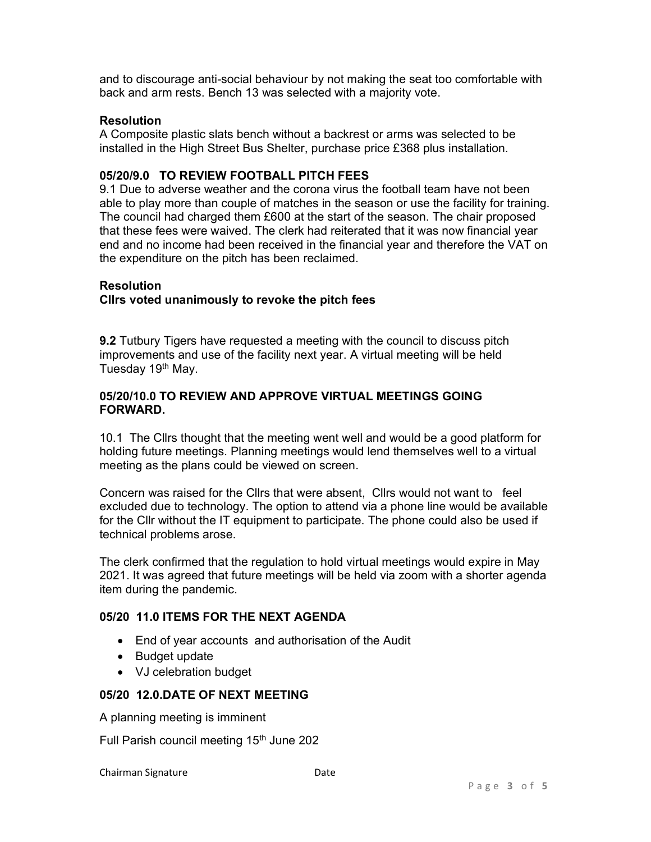and to discourage anti-social behaviour by not making the seat too comfortable with back and arm rests. Bench 13 was selected with a majority vote.

## **Resolution**

A Composite plastic slats bench without a backrest or arms was selected to be installed in the High Street Bus Shelter, purchase price £368 plus installation.

## 05/20/9.0 TO REVIEW FOOTBALL PITCH FEES

9.1 Due to adverse weather and the corona virus the football team have not been able to play more than couple of matches in the season or use the facility for training. The council had charged them £600 at the start of the season. The chair proposed that these fees were waived. The clerk had reiterated that it was now financial year end and no income had been received in the financial year and therefore the VAT on the expenditure on the pitch has been reclaimed.

### **Resolution**

### Cllrs voted unanimously to revoke the pitch fees

9.2 Tutbury Tigers have requested a meeting with the council to discuss pitch improvements and use of the facility next year. A virtual meeting will be held Tuesday 19<sup>th</sup> May.

### 05/20/10.0 TO REVIEW AND APPROVE VIRTUAL MEETINGS GOING FORWARD.

10.1 The Cllrs thought that the meeting went well and would be a good platform for holding future meetings. Planning meetings would lend themselves well to a virtual meeting as the plans could be viewed on screen.

Concern was raised for the Cllrs that were absent, Cllrs would not want to feel excluded due to technology. The option to attend via a phone line would be available for the Cllr without the IT equipment to participate. The phone could also be used if technical problems arose.

The clerk confirmed that the regulation to hold virtual meetings would expire in May 2021. It was agreed that future meetings will be held via zoom with a shorter agenda item during the pandemic.

### 05/20 11.0 ITEMS FOR THE NEXT AGENDA

- End of year accounts and authorisation of the Audit
- Budget update
- VJ celebration budget

### 05/20 12.0.DATE OF NEXT MEETING

A planning meeting is imminent

Full Parish council meeting 15<sup>th</sup> June 202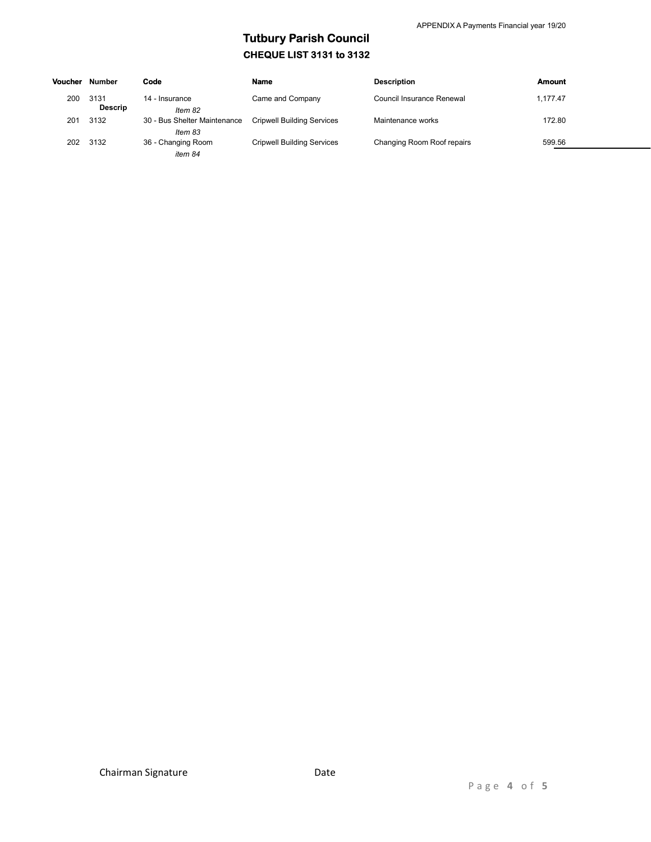# Tutbury Parish Council CHEQUE LIST 3131 to 3132

| Voucher | Number                 | Code                                    | <b>Name</b>                       | <b>Description</b>         | Amount   |
|---------|------------------------|-----------------------------------------|-----------------------------------|----------------------------|----------|
| 200     | 3131<br><b>Descrip</b> | 14 - Insurance<br>Item 82               | Came and Company                  | Council Insurance Renewal  | 1.177.47 |
| 201     | 3132                   | 30 - Bus Shelter Maintenance<br>Item 83 | <b>Cripwell Building Services</b> | Maintenance works          | 172.80   |
| 202     | 3132                   | 36 - Changing Room<br>item 84           | <b>Cripwell Building Services</b> | Changing Room Roof repairs | 599.56   |